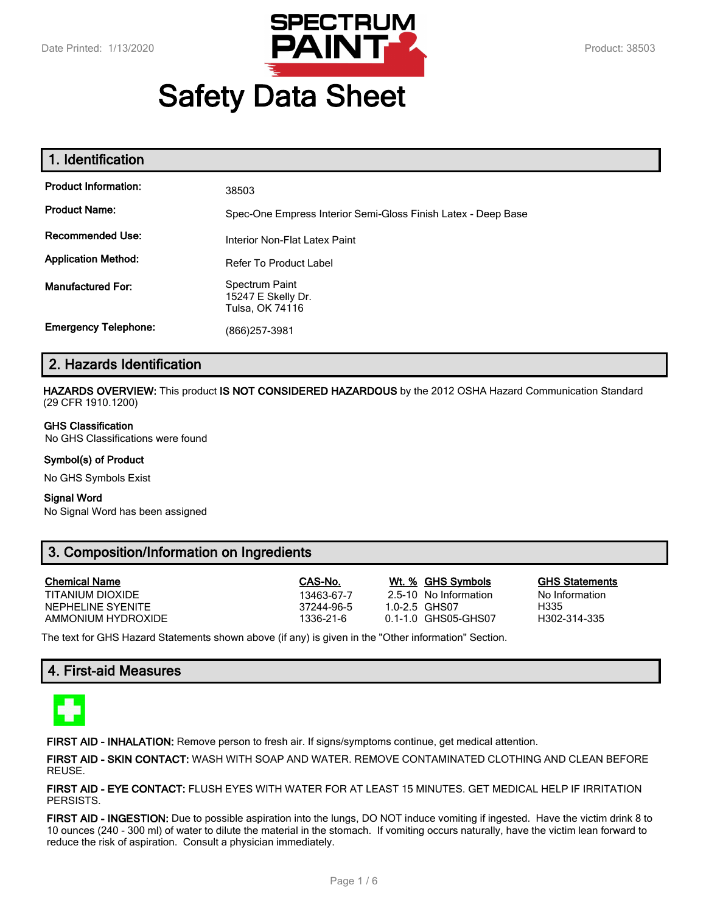

# **Safety Data Sheet**

| 1. Identification           |                                                               |
|-----------------------------|---------------------------------------------------------------|
| <b>Product Information:</b> | 38503                                                         |
| <b>Product Name:</b>        | Spec-One Empress Interior Semi-Gloss Finish Latex - Deep Base |
| <b>Recommended Use:</b>     | Interior Non-Flat Latex Paint                                 |
| <b>Application Method:</b>  | <b>Refer To Product Label</b>                                 |
| <b>Manufactured For:</b>    | Spectrum Paint<br>15247 E Skelly Dr.<br>Tulsa, OK 74116       |
| <b>Emergency Telephone:</b> | (866)257-3981                                                 |

# **2. Hazards Identification**

**HAZARDS OVERVIEW:** This product **IS NOT CONSIDERED HAZARDOUS** by the 2012 OSHA Hazard Communication Standard (29 CFR 1910.1200)

#### **GHS Classification**

No GHS Classifications were found

#### **Symbol(s) of Product**

No GHS Symbols Exist

#### **Signal Word**

No Signal Word has been assigned

# **3. Composition/Information on Ingredients**

| <b>Chemical Name</b> | CAS-No.    | Wt. % GHS Symbols     | <b>GHS Statements</b> |
|----------------------|------------|-----------------------|-----------------------|
| TITANIUM DIOXIDE     | 13463-67-7 | 2.5-10 No Information | No Information        |
| NEPHELINE SYENITE    | 37244-96-5 | 1.0-2.5 GHS07         | H335                  |
| AMMONIUM HYDROXIDE   | 1336-21-6  | 0.1-1.0 GHS05-GHS07   | H302-314-335          |
|                      |            |                       |                       |

The text for GHS Hazard Statements shown above (if any) is given in the "Other information" Section.

# **4. First-aid Measures**



**FIRST AID - INHALATION:** Remove person to fresh air. If signs/symptoms continue, get medical attention.

**FIRST AID - SKIN CONTACT:** WASH WITH SOAP AND WATER. REMOVE CONTAMINATED CLOTHING AND CLEAN BEFORE REUSE.

**FIRST AID - EYE CONTACT:** FLUSH EYES WITH WATER FOR AT LEAST 15 MINUTES. GET MEDICAL HELP IF IRRITATION PERSISTS.

**FIRST AID - INGESTION:** Due to possible aspiration into the lungs, DO NOT induce vomiting if ingested. Have the victim drink 8 to 10 ounces (240 - 300 ml) of water to dilute the material in the stomach. If vomiting occurs naturally, have the victim lean forward to reduce the risk of aspiration. Consult a physician immediately.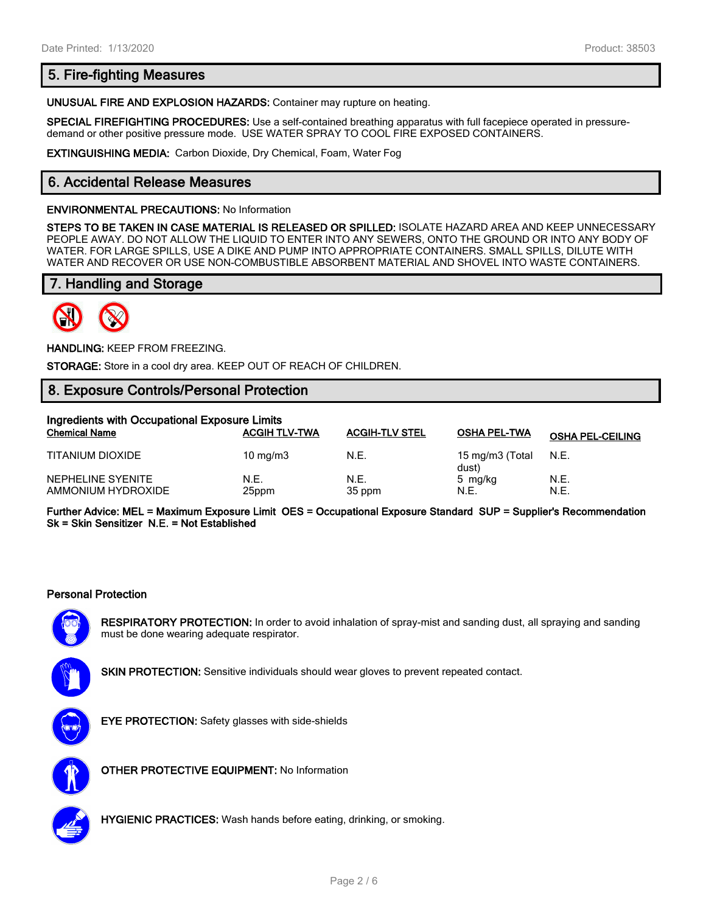# **5. Fire-fighting Measures**

**UNUSUAL FIRE AND EXPLOSION HAZARDS:** Container may rupture on heating.

**SPECIAL FIREFIGHTING PROCEDURES:** Use a self-contained breathing apparatus with full facepiece operated in pressuredemand or other positive pressure mode. USE WATER SPRAY TO COOL FIRE EXPOSED CONTAINERS.

**EXTINGUISHING MEDIA:** Carbon Dioxide, Dry Chemical, Foam, Water Fog

# **6. Accidental Release Measures**

#### **ENVIRONMENTAL PRECAUTIONS:** No Information

**STEPS TO BE TAKEN IN CASE MATERIAL IS RELEASED OR SPILLED:** ISOLATE HAZARD AREA AND KEEP UNNECESSARY PEOPLE AWAY. DO NOT ALLOW THE LIQUID TO ENTER INTO ANY SEWERS, ONTO THE GROUND OR INTO ANY BODY OF WATER. FOR LARGE SPILLS, USE A DIKE AND PUMP INTO APPROPRIATE CONTAINERS. SMALL SPILLS, DILUTE WITH WATER AND RECOVER OR USE NON-COMBUSTIBLE ABSORBENT MATERIAL AND SHOVEL INTO WASTE CONTAINERS.

# **7. Handling and Storage**



**HANDLING:** KEEP FROM FREEZING.

**STORAGE:** Store in a cool dry area. KEEP OUT OF REACH OF CHILDREN.

# **8. Exposure Controls/Personal Protection**

| Ingredients with Occupational Exposure Limits |                      |                       |                          |                         |
|-----------------------------------------------|----------------------|-----------------------|--------------------------|-------------------------|
| <b>Chemical Name</b>                          | <b>ACGIH TLV-TWA</b> | <b>ACGIH-TLV STEL</b> | <b>OSHA PEL-TWA</b>      | <b>OSHA PEL-CEILING</b> |
| TITANIUM DIOXIDE                              | $10 \text{ mg/m}$    | N.E.                  | 15 mg/m3 (Total<br>dust) | N.E.                    |
| NEPHELINE SYENITE<br>AMMONIUM HYDROXIDE       | N.E.<br>25ppm        | N.E.<br>35 ppm        | 5 mg/kg<br>N.E.          | N.E.<br>N.E.            |

**Further Advice: MEL = Maximum Exposure Limit OES = Occupational Exposure Standard SUP = Supplier's Recommendation Sk = Skin Sensitizer N.E. = Not Established**

#### **Personal Protection**



**RESPIRATORY PROTECTION:** In order to avoid inhalation of spray-mist and sanding dust, all spraying and sanding must be done wearing adequate respirator.



**SKIN PROTECTION:** Sensitive individuals should wear gloves to prevent repeated contact.



**EYE PROTECTION:** Safety glasses with side-shields



**OTHER PROTECTIVE EQUIPMENT:** No Information



**HYGIENIC PRACTICES:** Wash hands before eating, drinking, or smoking.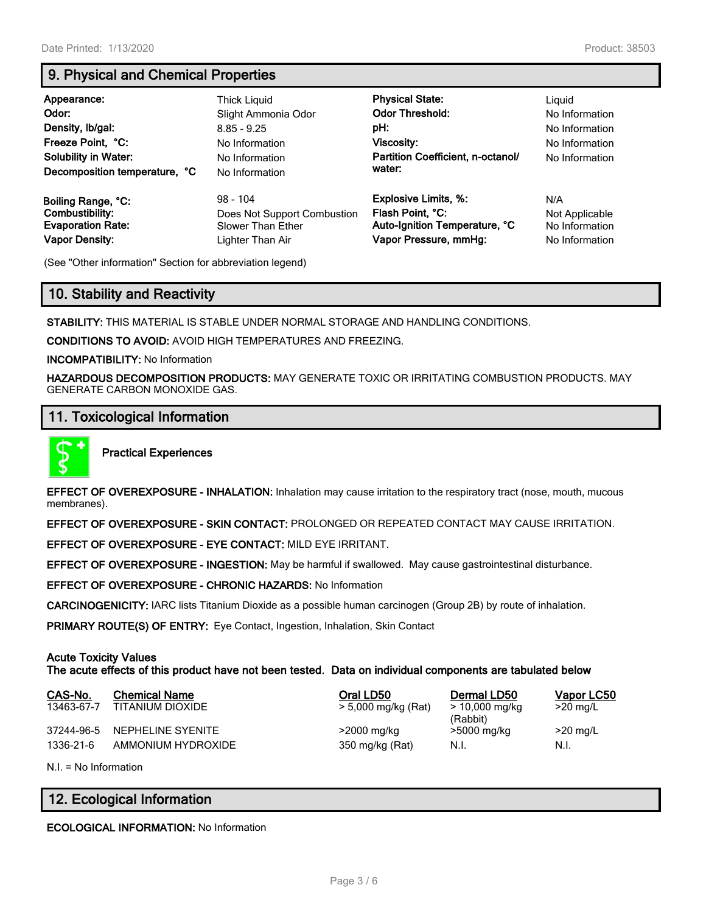# **9. Physical and Chemical Properties**

| Appearance:<br>Odor:<br>Density, Ib/gal:<br>Freeze Point, °C:<br><b>Solubility in Water:</b><br>Decomposition temperature, °C | Thick Liguid<br>Slight Ammonia Odor<br>$8.85 - 9.25$<br>No Information<br>No Information<br>No Information | <b>Physical State:</b><br><b>Odor Threshold:</b><br>pH:<br>Viscosity:<br>Partition Coefficient, n-octanol/<br>water: | Liguid<br>No Information<br>No Information<br>No Information<br>No Information |
|-------------------------------------------------------------------------------------------------------------------------------|------------------------------------------------------------------------------------------------------------|----------------------------------------------------------------------------------------------------------------------|--------------------------------------------------------------------------------|
| Boiling Range, °C:                                                                                                            | $98 - 104$                                                                                                 | <b>Explosive Limits, %:</b>                                                                                          | N/A                                                                            |
| Combustibility:                                                                                                               | Does Not Support Combustion                                                                                | Flash Point, °C:                                                                                                     | Not Applicable                                                                 |
| <b>Evaporation Rate:</b>                                                                                                      | <b>Slower Than Ether</b>                                                                                   | Auto-Ignition Temperature, °C                                                                                        | No Information                                                                 |
| <b>Vapor Density:</b>                                                                                                         | Lighter Than Air                                                                                           | Vapor Pressure, mmHg:                                                                                                | No Information                                                                 |

(See "Other information" Section for abbreviation legend)

# **10. Stability and Reactivity**

**STABILITY:** THIS MATERIAL IS STABLE UNDER NORMAL STORAGE AND HANDLING CONDITIONS.

**CONDITIONS TO AVOID:** AVOID HIGH TEMPERATURES AND FREEZING.

**INCOMPATIBILITY:** No Information

**HAZARDOUS DECOMPOSITION PRODUCTS:** MAY GENERATE TOXIC OR IRRITATING COMBUSTION PRODUCTS. MAY GENERATE CARBON MONOXIDE GAS.

# **11. Toxicological Information**



**Practical Experiences**

**EFFECT OF OVEREXPOSURE - INHALATION:** Inhalation may cause irritation to the respiratory tract (nose, mouth, mucous membranes).

**EFFECT OF OVEREXPOSURE - SKIN CONTACT:** PROLONGED OR REPEATED CONTACT MAY CAUSE IRRITATION.

**EFFECT OF OVEREXPOSURE - EYE CONTACT:** MILD EYE IRRITANT.

**EFFECT OF OVEREXPOSURE - INGESTION:** May be harmful if swallowed. May cause gastrointestinal disturbance.

**EFFECT OF OVEREXPOSURE - CHRONIC HAZARDS:** No Information

**CARCINOGENICITY:** IARC lists Titanium Dioxide as a possible human carcinogen (Group 2B) by route of inhalation.

**PRIMARY ROUTE(S) OF ENTRY:** Eye Contact, Ingestion, Inhalation, Skin Contact

# **Acute Toxicity Values**

**The acute effects of this product have not been tested. Data on individual components are tabulated below**

| CAS-No.<br>13463-67-7 | <b>Chemical Name</b><br>TITANIUM DIOXIDE | Oral LD50<br>> 5,000 mg/kg (Rat) | Dermal LD50<br>$> 10,000$ mg/kg<br>(Rabbit) | Vapor LC50<br>$>20$ mg/L |
|-----------------------|------------------------------------------|----------------------------------|---------------------------------------------|--------------------------|
| 37244-96-5            | NEPHELINE SYENITE                        | >2000 mg/kg                      | >5000 mg/kg                                 | $>20$ mg/L               |
| 1336-21-6             | AMMONIUM HYDROXIDE                       | 350 mg/kg (Rat)                  | N.I.                                        | N.I.                     |
|                       |                                          |                                  |                                             |                          |

N.I. = No Information

# **12. Ecological Information**

**ECOLOGICAL INFORMATION:** No Information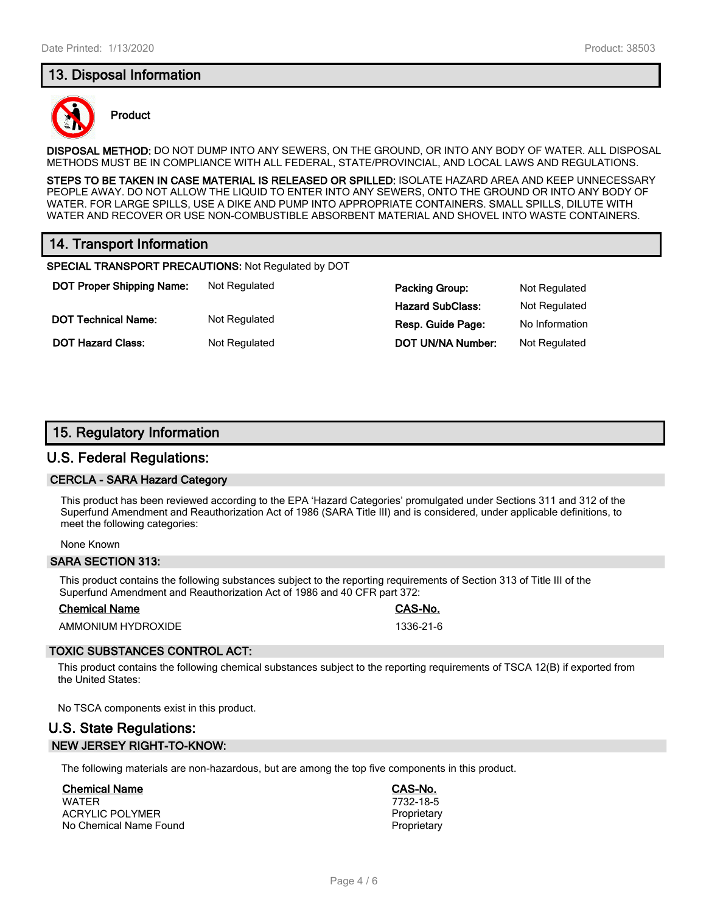# **13. Disposal Information**



### **Product**

**DISPOSAL METHOD:** DO NOT DUMP INTO ANY SEWERS, ON THE GROUND, OR INTO ANY BODY OF WATER. ALL DISPOSAL METHODS MUST BE IN COMPLIANCE WITH ALL FEDERAL, STATE/PROVINCIAL, AND LOCAL LAWS AND REGULATIONS.

**STEPS TO BE TAKEN IN CASE MATERIAL IS RELEASED OR SPILLED:** ISOLATE HAZARD AREA AND KEEP UNNECESSARY PEOPLE AWAY. DO NOT ALLOW THE LIQUID TO ENTER INTO ANY SEWERS, ONTO THE GROUND OR INTO ANY BODY OF WATER. FOR LARGE SPILLS, USE A DIKE AND PUMP INTO APPROPRIATE CONTAINERS. SMALL SPILLS, DILUTE WITH WATER AND RECOVER OR USE NON-COMBUSTIBLE ABSORBENT MATERIAL AND SHOVEL INTO WASTE CONTAINERS.

# **14. Transport Information**

**SPECIAL TRANSPORT PRECAUTIONS:** Not Regulated by DOT

**DOT Proper Shipping Name:** Not Regulated **Packing Group:** Not Regulated **Packing Group:** Not Regulated

**Hazard SubClass:** Not Regulated **DOT Technical Name:** Not Regulated **Resp. Guide Page:** No Information **DOT Hazard Class:** Not Regulated **DOT UN/NA Number:** Not Regulated

# **15. Regulatory Information**

# **U.S. Federal Regulations:**

### **CERCLA - SARA Hazard Category**

This product has been reviewed according to the EPA 'Hazard Categories' promulgated under Sections 311 and 312 of the Superfund Amendment and Reauthorization Act of 1986 (SARA Title III) and is considered, under applicable definitions, to meet the following categories:

#### None Known

#### **SARA SECTION 313:**

This product contains the following substances subject to the reporting requirements of Section 313 of Title III of the Superfund Amendment and Reauthorization Act of 1986 and 40 CFR part 372:

#### **Chemical Name CAS-No.**

AMMONIUM HYDROXIDE 1336-21-6

# **TOXIC SUBSTANCES CONTROL ACT:**

This product contains the following chemical substances subject to the reporting requirements of TSCA 12(B) if exported from the United States:

No TSCA components exist in this product.

# **U.S. State Regulations: NEW JERSEY RIGHT-TO-KNOW:**

The following materials are non-hazardous, but are among the top five components in this product.

#### **Chemical Name CAS-No.**

WATER 7732-18-5 ACRYLIC POLYMER<br>
No Chemical Name Found<br>
Proprietary No Chemical Name Found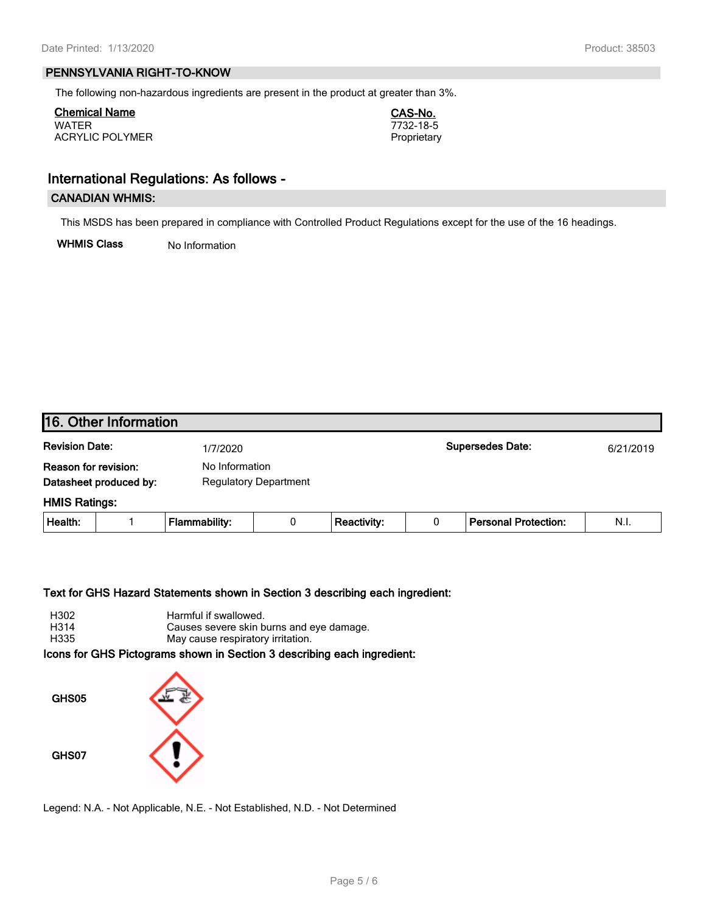### **PENNSYLVANIA RIGHT-TO-KNOW**

The following non-hazardous ingredients are present in the product at greater than 3%.

**Chemical Name CAS-No.** WATER 7732-18-5 ACRYLIC POLYMER **Proprietary** 

# **International Regulations: As follows -**

## **CANADIAN WHMIS:**

This MSDS has been prepared in compliance with Controlled Product Regulations except for the use of the 16 headings.

**WHMIS Class** No Information

| 16. Other Information                                                                            |  |                      |                         |                    |   |                             |      |
|--------------------------------------------------------------------------------------------------|--|----------------------|-------------------------|--------------------|---|-----------------------------|------|
| <b>Revision Date:</b><br>1/7/2020                                                                |  |                      | <b>Supersedes Date:</b> |                    |   | 6/21/2019                   |      |
| Reason for revision:<br>No Information<br>Datasheet produced by:<br><b>Regulatory Department</b> |  |                      |                         |                    |   |                             |      |
| <b>HMIS Ratings:</b>                                                                             |  |                      |                         |                    |   |                             |      |
| Health:                                                                                          |  | <b>Flammability:</b> | 0                       | <b>Reactivity:</b> | 0 | <b>Personal Protection:</b> | N.I. |
|                                                                                                  |  |                      |                         |                    |   |                             |      |

#### **Text for GHS Hazard Statements shown in Section 3 describing each ingredient:**

| H302 | Harmful if swallowed.                    |
|------|------------------------------------------|
| H314 | Causes severe skin burns and eye damage. |
| H335 | May cause respiratory irritation.        |

**Icons for GHS Pictograms shown in Section 3 describing each ingredient:**



Legend: N.A. - Not Applicable, N.E. - Not Established, N.D. - Not Determined